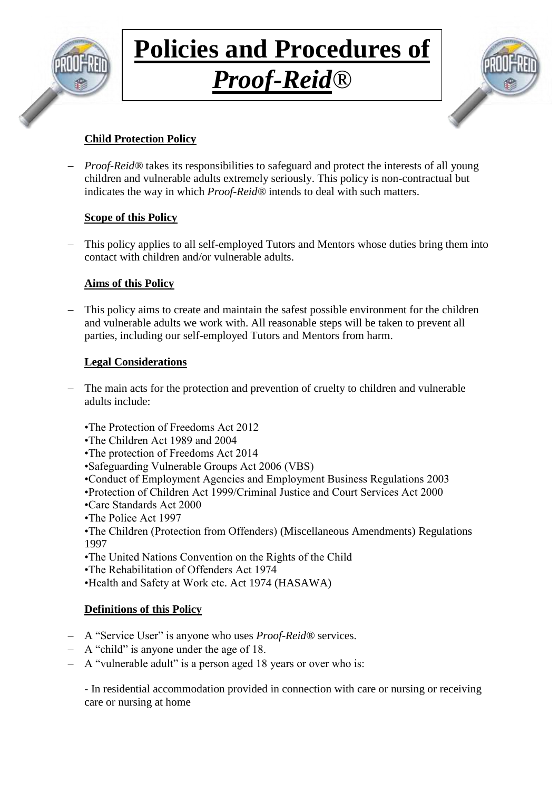

## **Policies and Procedures of** *Proof-Reid®*



### **Child Protection Policy**

 *Proof-Reid®* takes its responsibilities to safeguard and protect the interests of all young children and vulnerable adults extremely seriously. This policy is non-contractual but indicates the way in which *Proof-Reid®* intends to deal with such matters.

### **Scope of this Policy**

 This policy applies to all self-employed Tutors and Mentors whose duties bring them into contact with children and/or vulnerable adults.

### **Aims of this Policy**

 This policy aims to create and maintain the safest possible environment for the children and vulnerable adults we work with. All reasonable steps will be taken to prevent all parties, including our self-employed Tutors and Mentors from harm.

### **Legal Considerations**

- The main acts for the protection and prevention of cruelty to children and vulnerable adults include:
	- •The Protection of Freedoms Act 2012
	- •The Children Act 1989 and 2004
	- •The protection of Freedoms Act 2014
	- •Safeguarding Vulnerable Groups Act 2006 (VBS)
	- •Conduct of Employment Agencies and Employment Business Regulations 2003
	- •Protection of Children Act 1999/Criminal Justice and Court Services Act 2000
	- •Care Standards Act 2000
	- •The Police Act 1997
	- •The Children (Protection from Offenders) (Miscellaneous Amendments) Regulations 1997
	- •The United Nations Convention on the Rights of the Child
	- •The Rehabilitation of Offenders Act 1974
	- •Health and Safety at Work etc. Act 1974 (HASAWA)

### **Definitions of this Policy**

- A "Service User" is anyone who uses *Proof-Reid®* services.
- A "child" is anyone under the age of 18.
- A "vulnerable adult" is a person aged 18 years or over who is:

- In residential accommodation provided in connection with care or nursing or receiving care or nursing at home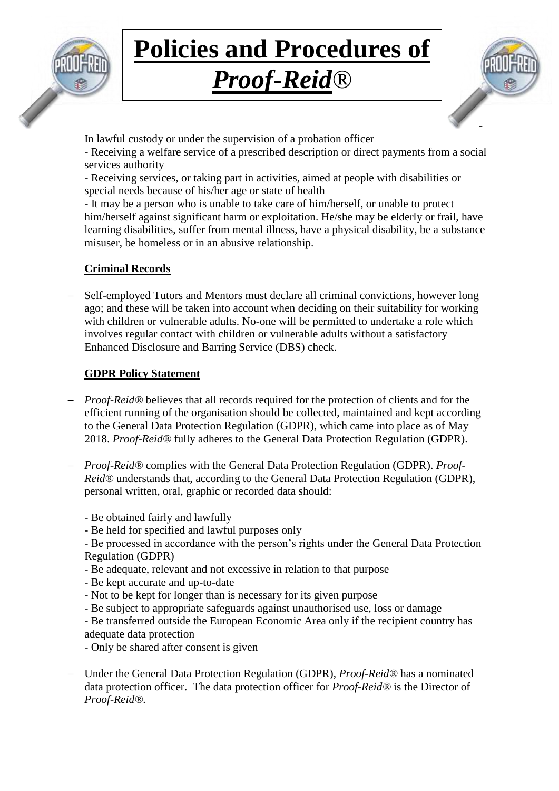

## *Proof-Reid®*



In lawful custody or under the supervision of a probation officer

- Receiving a welfare service of a prescribed description or direct payments from a social services authority

- Receiving services, or taking part in activities, aimed at people with disabilities or special needs because of his/her age or state of health

- It may be a person who is unable to take care of him/herself, or unable to protect him/herself against significant harm or exploitation. He/she may be elderly or frail, have learning disabilities, suffer from mental illness, have a physical disability, be a substance misuser, be homeless or in an abusive relationship.

### **Criminal Records**

 Self-employed Tutors and Mentors must declare all criminal convictions, however long ago; and these will be taken into account when deciding on their suitability for working with children or vulnerable adults. No-one will be permitted to undertake a role which involves regular contact with children or vulnerable adults without a satisfactory Enhanced Disclosure and Barring Service (DBS) check.

### **GDPR Policy Statement**

- *Proof-Reid*<sup>®</sup> believes that all records required for the protection of clients and for the efficient running of the organisation should be collected, maintained and kept according to the General Data Protection Regulation (GDPR), which came into place as of May 2018. *Proof-Reid®* fully adheres to the General Data Protection Regulation (GDPR).
- *Proof-Reid®* complies with the General Data Protection Regulation (GDPR). *Proof-Reid®* understands that, according to the General Data Protection Regulation (GDPR), personal written, oral, graphic or recorded data should:
	- Be obtained fairly and lawfully
	- Be held for specified and lawful purposes only

- Be processed in accordance with the person's rights under the General Data Protection Regulation (GDPR)

- Be adequate, relevant and not excessive in relation to that purpose
- Be kept accurate and up-to-date
- Not to be kept for longer than is necessary for its given purpose
- Be subject to appropriate safeguards against unauthorised use, loss or damage
- Be transferred outside the European Economic Area only if the recipient country has adequate data protection
- Only be shared after consent is given
- Under the General Data Protection Regulation (GDPR), *Proof-Reid®* has a nominated data protection officer. The data protection officer for *Proof-Reid®* is the Director of *Proof-Reid®*.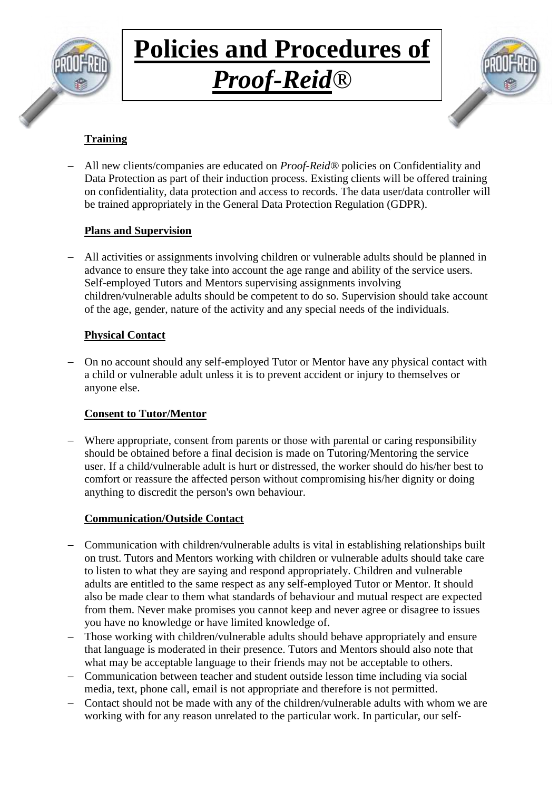

## **Policies and Procedures of** *Proof-Reid®*



### **Training**

 All new clients/companies are educated on *Proof-Reid®* policies on Confidentiality and Data Protection as part of their induction process. Existing clients will be offered training on confidentiality, data protection and access to records. The data user/data controller will be trained appropriately in the General Data Protection Regulation (GDPR).

### **Plans and Supervision**

 All activities or assignments involving children or vulnerable adults should be planned in advance to ensure they take into account the age range and ability of the service users. Self-employed Tutors and Mentors supervising assignments involving children/vulnerable adults should be competent to do so. Supervision should take account of the age, gender, nature of the activity and any special needs of the individuals.

### **Physical Contact**

 On no account should any self-employed Tutor or Mentor have any physical contact with a child or vulnerable adult unless it is to prevent accident or injury to themselves or anyone else.

### **Consent to Tutor/Mentor**

 Where appropriate, consent from parents or those with parental or caring responsibility should be obtained before a final decision is made on Tutoring/Mentoring the service user. If a child/vulnerable adult is hurt or distressed, the worker should do his/her best to comfort or reassure the affected person without compromising his/her dignity or doing anything to discredit the person's own behaviour.

### **Communication/Outside Contact**

- Communication with children/vulnerable adults is vital in establishing relationships built on trust. Tutors and Mentors working with children or vulnerable adults should take care to listen to what they are saying and respond appropriately. Children and vulnerable adults are entitled to the same respect as any self-employed Tutor or Mentor. It should also be made clear to them what standards of behaviour and mutual respect are expected from them. Never make promises you cannot keep and never agree or disagree to issues you have no knowledge or have limited knowledge of.
- Those working with children/vulnerable adults should behave appropriately and ensure that language is moderated in their presence. Tutors and Mentors should also note that what may be acceptable language to their friends may not be acceptable to others.
- Communication between teacher and student outside lesson time including via social media, text, phone call, email is not appropriate and therefore is not permitted.
- Contact should not be made with any of the children/vulnerable adults with whom we are working with for any reason unrelated to the particular work. In particular, our self-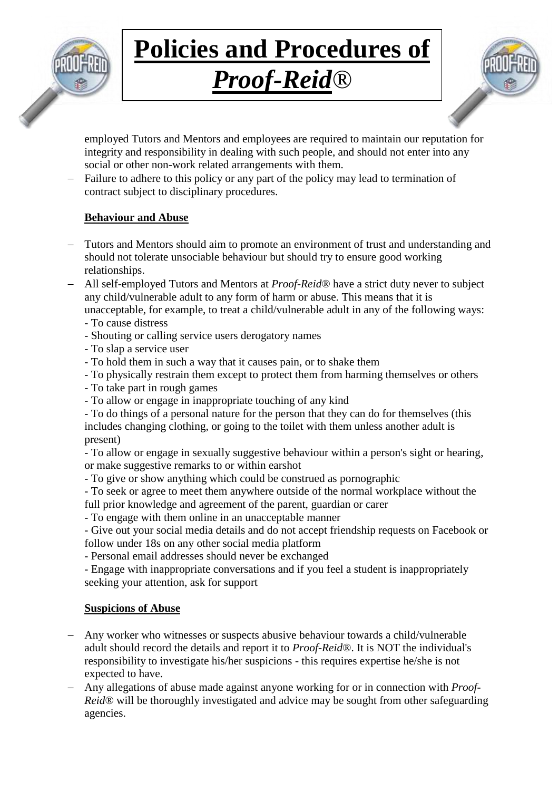

## *Proof-Reid®*



employed Tutors and Mentors and employees are required to maintain our reputation for integrity and responsibility in dealing with such people, and should not enter into any social or other non-work related arrangements with them.

 Failure to adhere to this policy or any part of the policy may lead to termination of contract subject to disciplinary procedures.

### **Behaviour and Abuse**

- Tutors and Mentors should aim to promote an environment of trust and understanding and should not tolerate unsociable behaviour but should try to ensure good working relationships.
- All self-employed Tutors and Mentors at *Proof-Reid*® have a strict duty never to subject any child/vulnerable adult to any form of harm or abuse. This means that it is unacceptable, for example, to treat a child/vulnerable adult in any of the following ways:
	- To cause distress
	- Shouting or calling service users derogatory names
	- To slap a service user
	- To hold them in such a way that it causes pain, or to shake them
	- To physically restrain them except to protect them from harming themselves or others
	- To take part in rough games
	- To allow or engage in inappropriate touching of any kind
	- To do things of a personal nature for the person that they can do for themselves (this includes changing clothing, or going to the toilet with them unless another adult is present)

- To allow or engage in sexually suggestive behaviour within a person's sight or hearing, or make suggestive remarks to or within earshot

- To give or show anything which could be construed as pornographic
- To seek or agree to meet them anywhere outside of the normal workplace without the full prior knowledge and agreement of the parent, guardian or carer
- To engage with them online in an unacceptable manner

- Give out your social media details and do not accept friendship requests on Facebook or follow under 18s on any other social media platform

- Personal email addresses should never be exchanged

- Engage with inappropriate conversations and if you feel a student is inappropriately seeking your attention, ask for support

### **Suspicions of Abuse**

- Any worker who witnesses or suspects abusive behaviour towards a child/vulnerable adult should record the details and report it to *Proof-Reid*®. It is NOT the individual's responsibility to investigate his/her suspicions - this requires expertise he/she is not expected to have.
- Any allegations of abuse made against anyone working for or in connection with *Proof-Reid*<sup>®</sup> will be thoroughly investigated and advice may be sought from other safeguarding agencies.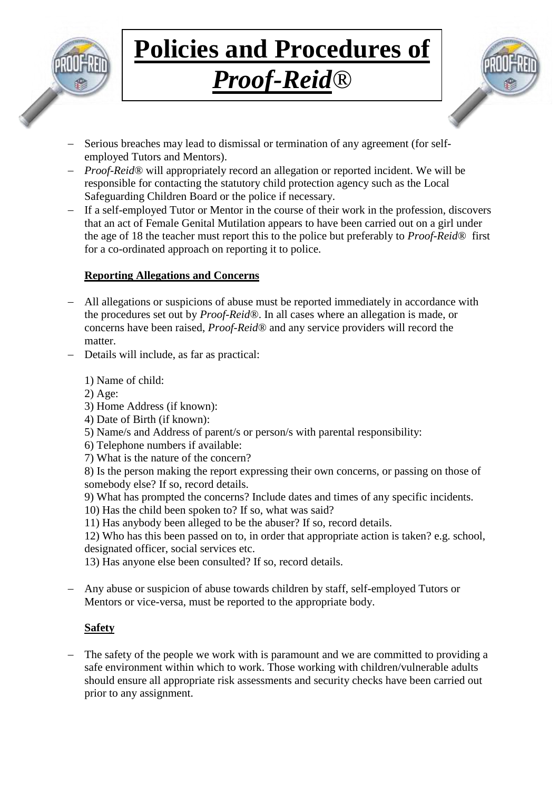

## *Proof-Reid®*



- Serious breaches may lead to dismissal or termination of any agreement (for selfemployed Tutors and Mentors).
- *Proof-Reid*® will appropriately record an allegation or reported incident. We will be responsible for contacting the statutory child protection agency such as the Local Safeguarding Children Board or the police if necessary.
- If a self-employed Tutor or Mentor in the course of their work in the profession, discovers that an act of Female Genital Mutilation appears to have been carried out on a girl under the age of 18 the teacher must report this to the police but preferably to *Proof-Reid*® first for a co-ordinated approach on reporting it to police.

### **Reporting Allegations and Concerns**

- All allegations or suspicions of abuse must be reported immediately in accordance with the procedures set out by *Proof-Reid*®. In all cases where an allegation is made, or concerns have been raised, *Proof-Reid*® and any service providers will record the matter.
- Details will include, as far as practical:
	- 1) Name of child:
	- 2) Age:
	- 3) Home Address (if known):
	- 4) Date of Birth (if known):
	- 5) Name/s and Address of parent/s or person/s with parental responsibility:
	- 6) Telephone numbers if available:
	- 7) What is the nature of the concern?
	- 8) Is the person making the report expressing their own concerns, or passing on those of somebody else? If so, record details.
	- 9) What has prompted the concerns? Include dates and times of any specific incidents.
	- 10) Has the child been spoken to? If so, what was said?
	- 11) Has anybody been alleged to be the abuser? If so, record details.

12) Who has this been passed on to, in order that appropriate action is taken? e.g. school, designated officer, social services etc.

13) Has anyone else been consulted? If so, record details.

 Any abuse or suspicion of abuse towards children by staff, self-employed Tutors or Mentors or vice-versa, must be reported to the appropriate body.

### **Safety**

- The safety of the people we work with is paramount and we are committed to providing a safe environment within which to work. Those working with children/vulnerable adults should ensure all appropriate risk assessments and security checks have been carried out prior to any assignment.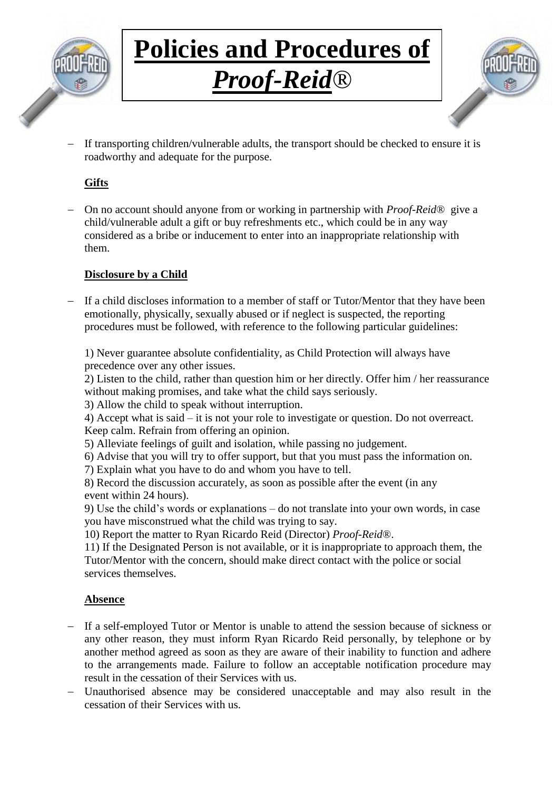

# *Proof-Reid®*



 If transporting children/vulnerable adults, the transport should be checked to ensure it is roadworthy and adequate for the purpose.

### **Gifts**

 On no account should anyone from or working in partnership with *Proof-Reid*® give a child/vulnerable adult a gift or buy refreshments etc., which could be in any way considered as a bribe or inducement to enter into an inappropriate relationship with them.

### **Disclosure by a Child**

 If a child discloses information to a member of staff or Tutor/Mentor that they have been emotionally, physically, sexually abused or if neglect is suspected, the reporting procedures must be followed, with reference to the following particular guidelines:

1) Never guarantee absolute confidentiality, as Child Protection will always have precedence over any other issues.

2) Listen to the child, rather than question him or her directly. Offer him / her reassurance without making promises, and take what the child says seriously.

3) Allow the child to speak without interruption.

4) Accept what is said – it is not your role to investigate or question. Do not overreact. Keep calm. Refrain from offering an opinion.

- 5) Alleviate feelings of guilt and isolation, while passing no judgement.
- 6) Advise that you will try to offer support, but that you must pass the information on.
- 7) Explain what you have to do and whom you have to tell.

8) Record the discussion accurately, as soon as possible after the event (in any event within 24 hours).

9) Use the child's words or explanations – do not translate into your own words, in case you have misconstrued what the child was trying to say.

10) Report the matter to Ryan Ricardo Reid (Director) *Proof-Reid*®.

11) If the Designated Person is not available, or it is inappropriate to approach them, the Tutor/Mentor with the concern, should make direct contact with the police or social services themselves.

### **Absence**

- If a self-employed Tutor or Mentor is unable to attend the session because of sickness or any other reason, they must inform Ryan Ricardo Reid personally, by telephone or by another method agreed as soon as they are aware of their inability to function and adhere to the arrangements made. Failure to follow an acceptable notification procedure may result in the cessation of their Services with us.
- Unauthorised absence may be considered unacceptable and may also result in the cessation of their Services with us.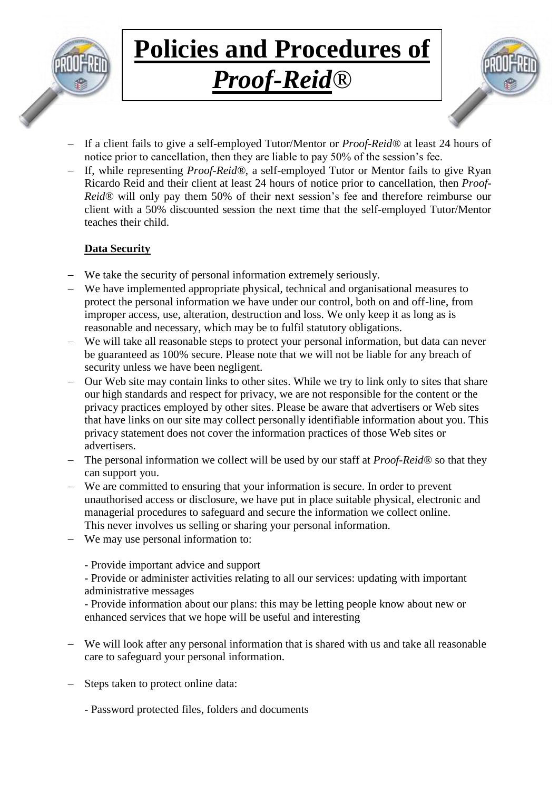

### *Proof-Reid®*



- If a client fails to give a self-employed Tutor/Mentor or *Proof-Reid®* at least 24 hours of notice prior to cancellation, then they are liable to pay 50% of the session's fee.
- If, while representing *Proof-Reid®*, a self-employed Tutor or Mentor fails to give Ryan Ricardo Reid and their client at least 24 hours of notice prior to cancellation, then *Proof-Reid®* will only pay them 50% of their next session's fee and therefore reimburse our client with a 50% discounted session the next time that the self-employed Tutor/Mentor teaches their child.

### **Data Security**

- We take the security of personal information extremely seriously.
- We have implemented appropriate physical, technical and organisational measures to protect the personal information we have under our control, both on and off-line, from improper access, use, alteration, destruction and loss. We only keep it as long as is reasonable and necessary, which may be to fulfil statutory obligations.
- We will take all reasonable steps to protect your personal information, but data can never be guaranteed as 100% secure. Please note that we will not be liable for any breach of security unless we have been negligent.
- Our Web site may contain links to other sites. While we try to link only to sites that share our high standards and respect for privacy, we are not responsible for the content or the privacy practices employed by other sites. Please be aware that advertisers or Web sites that have links on our site may collect personally identifiable information about you. This privacy statement does not cover the information practices of those Web sites or advertisers.
- The personal information we collect will be used by our staff at *Proof-Reid*® so that they can support you.
- We are committed to ensuring that your information is secure. In order to prevent unauthorised access or disclosure, we have put in place suitable physical, electronic and managerial procedures to safeguard and secure the information we collect online. This never involves us selling or sharing your personal information.
- We may use personal information to:
	- Provide important advice and support
	- Provide or administer activities relating to all our services: updating with important administrative messages
	- Provide information about our plans: this may be letting people know about new or enhanced services that we hope will be useful and interesting
- We will look after any personal information that is shared with us and take all reasonable care to safeguard your personal information.
- Steps taken to protect online data:
	- Password protected files, folders and documents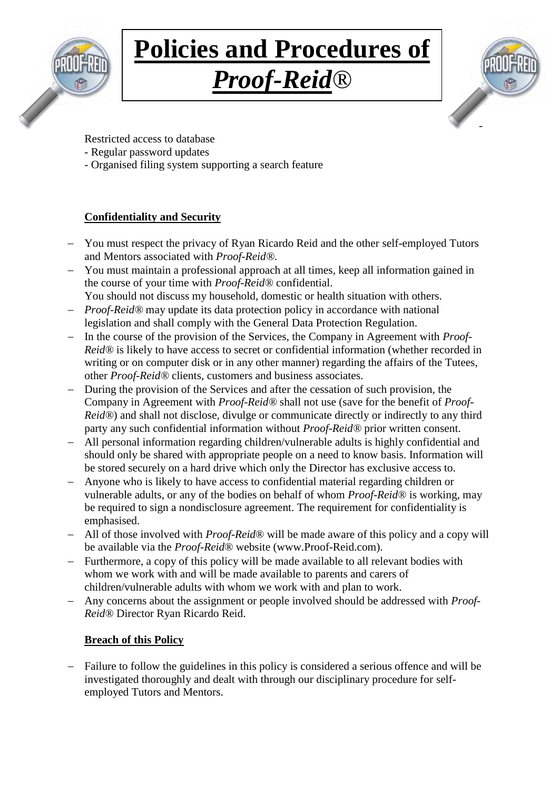

## **Policies and Procedures of** *Proof-Reid®*



Restricted access to database

- Regular password updates
- Organised filing system supporting a search feature

### **Confidentiality and Security**

- You must respect the privacy of Ryan Ricardo Reid and the other self-employed Tutors and Mentors associated with *Proof-Reid®*.
- You must maintain a professional approach at all times, keep all information gained in the course of your time with *Proof-Reid®* confidential.
- You should not discuss my household, domestic or health situation with others. *Proof-Reid*<sup>®</sup> may update its data protection policy in accordance with national
- legislation and shall comply with the General Data Protection Regulation.
- In the course of the provision of the Services, the Company in Agreement with *Proof-Reid®* is likely to have access to secret or confidential information (whether recorded in writing or on computer disk or in any other manner) regarding the affairs of the Tutees, other *Proof-Reid®* clients, customers and business associates.
- During the provision of the Services and after the cessation of such provision, the Company in Agreement with *Proof-Reid®* shall not use (save for the benefit of *Proof-Reid®*) and shall not disclose, divulge or communicate directly or indirectly to any third party any such confidential information without *Proof-Reid®* prior written consent.
- All personal information regarding children/vulnerable adults is highly confidential and should only be shared with appropriate people on a need to know basis. Information will be stored securely on a hard drive which only the Director has exclusive access to.
- Anyone who is likely to have access to confidential material regarding children or vulnerable adults, or any of the bodies on behalf of whom *Proof-Reid*® is working, may be required to sign a nondisclosure agreement. The requirement for confidentiality is emphasised.
- All of those involved with *Proof-Reid*® will be made aware of this policy and a copy will be available via the *Proof-Reid*® website (www.Proof-Reid.com).
- Furthermore, a copy of this policy will be made available to all relevant bodies with whom we work with and will be made available to parents and carers of children/vulnerable adults with whom we work with and plan to work.
- Any concerns about the assignment or people involved should be addressed with *Proof-Reid*® Director Ryan Ricardo Reid.

### **Breach of this Policy**

 Failure to follow the guidelines in this policy is considered a serious offence and will be investigated thoroughly and dealt with through our disciplinary procedure for selfemployed Tutors and Mentors.